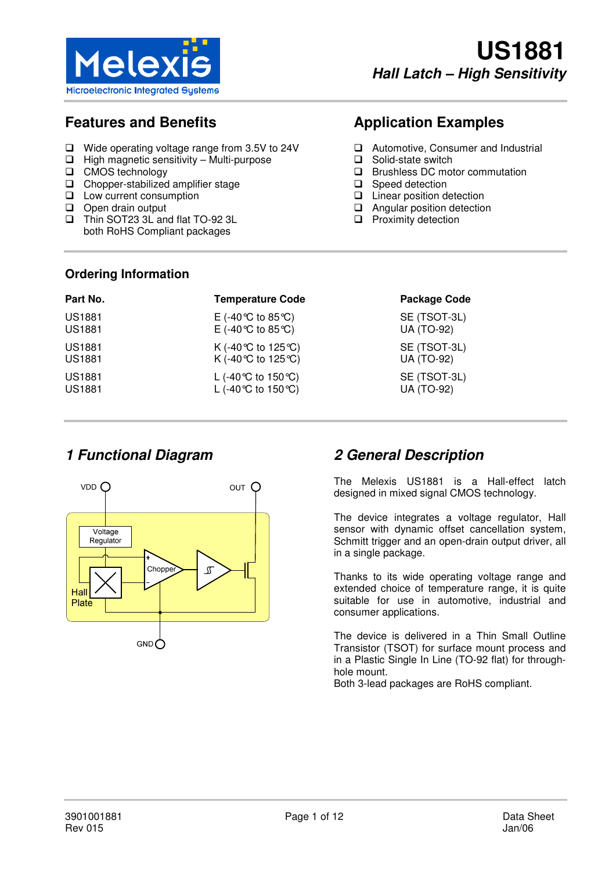

## **Features and Benefits**

- Wide operating voltage range from 3.5V to 24V
- $\Box$  High magnetic sensitivity Multi-purpose
- □ CMOS technology
- Chopper-stabilized amplifier stage
- **Low current consumption**
- Open drain output
- Thin SOT23 3L and flat TO-92 3L both RoHS Compliant packages

# **Application Examples**

- **Automotive, Consumer and Industrial**
- □ Solid-state switch
- □ Brushless DC motor commutation
- □ Speed detection
- □ Linear position detection
- □ Angular position detection
- $\Box$  Proximity detection

#### **Ordering Information**

| Part No.      | <b>Temperature Code</b>                | <b>Package Code</b> |
|---------------|----------------------------------------|---------------------|
| <b>US1881</b> | E (-40 ℃ to 85 ℃)                      | SE (TSOT-3L)        |
| <b>US1881</b> | E (-40 ℃ to 85 ℃)                      | <b>UA (TO-92)</b>   |
| <b>US1881</b> | K (-40 ℃ to 125 ℃)                     | SE (TSOT-3L)        |
| <b>US1881</b> | K (-40 ℃ to 125 ℃)                     | <b>UA (TO-92)</b>   |
| <b>US1881</b> | L (-40 °C to 150 °C)                   | SE (TSOT-3L)        |
| <b>US1881</b> | L (-40 $\degree$ C to 150 $\degree$ C) | <b>UA (TO-92)</b>   |



## **1 Functional Diagram 2 General Description**

The Melexis US1881 is a Hall-effect latch designed in mixed signal CMOS technology.

The device integrates a voltage regulator, Hall sensor with dynamic offset cancellation system, Schmitt trigger and an open-drain output driver, all in a single package.

Thanks to its wide operating voltage range and extended choice of temperature range, it is quite suitable for use in automotive, industrial and consumer applications.

The device is delivered in a Thin Small Outline Transistor (TSOT) for surface mount process and in a Plastic Single In Line (TO-92 flat) for throughhole mount.

Both 3-lead packages are RoHS compliant.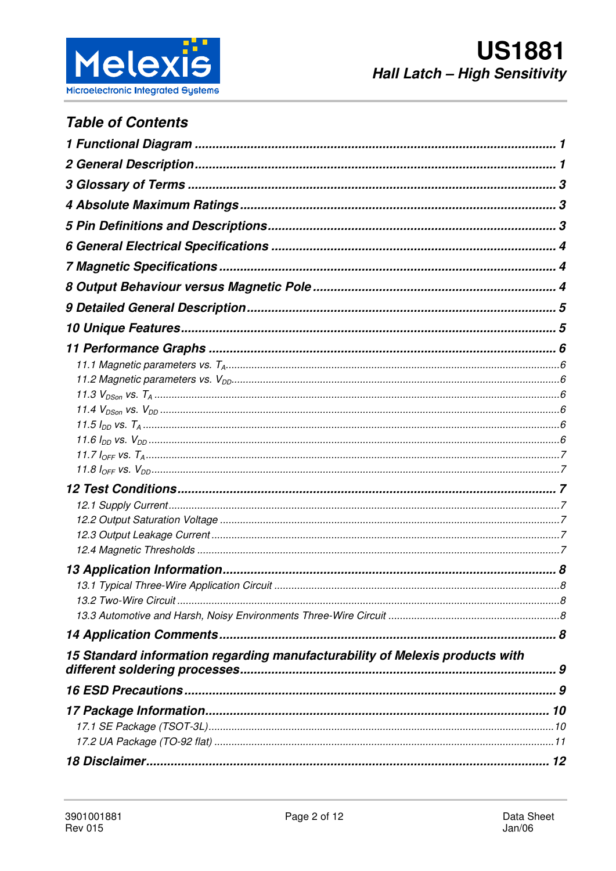

## **Table of Contents**

| 15 Standard information regarding manufacturability of Melexis products with |  |
|------------------------------------------------------------------------------|--|
|                                                                              |  |
|                                                                              |  |
|                                                                              |  |
|                                                                              |  |
|                                                                              |  |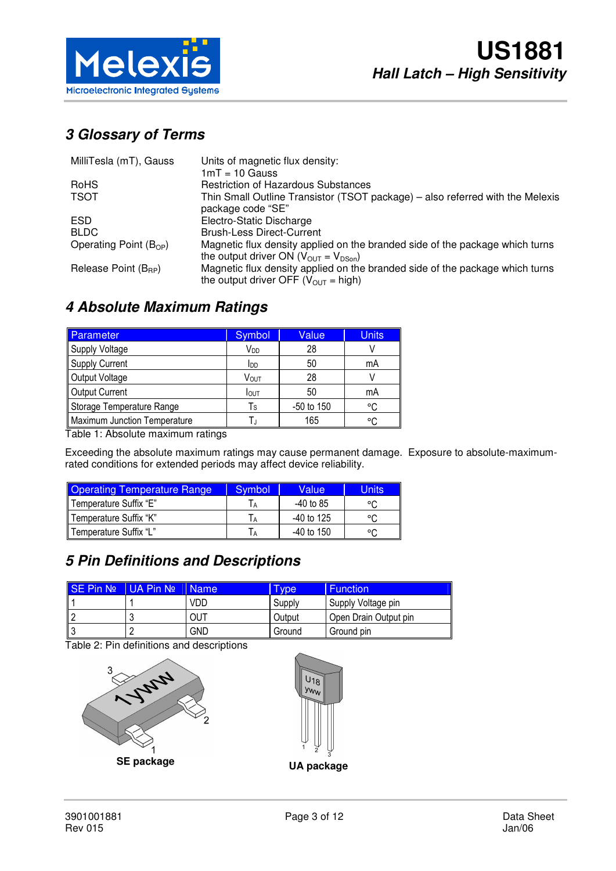

# **3 Glossary of Terms**

| MilliTesla (mT), Gauss           | Units of magnetic flux density:                                                                                                             |
|----------------------------------|---------------------------------------------------------------------------------------------------------------------------------------------|
|                                  | $1mT = 10$ Gauss                                                                                                                            |
| RoHS                             | <b>Restriction of Hazardous Substances</b>                                                                                                  |
| <b>TSOT</b>                      | Thin Small Outline Transistor (TSOT package) - also referred with the Melexis<br>package code "SE"                                          |
| ESD.                             | Electro-Static Discharge                                                                                                                    |
| <b>BLDC</b>                      | <b>Brush-Less Direct-Current</b>                                                                                                            |
| Operating Point $(B_{OP})$       | Magnetic flux density applied on the branded side of the package which turns<br>the output driver ON ( $V_{\text{OUT}} = V_{\text{DSon}}$ ) |
| Release Point (B <sub>RP</sub> ) | Magnetic flux density applied on the branded side of the package which turns<br>the output driver OFF ( $V_{\text{OUT}}$ = high)            |

## **4 Absolute Maximum Ratings**

| Parameter                    | Symbol                  | Value      | <b>Units</b> |
|------------------------------|-------------------------|------------|--------------|
| <b>Supply Voltage</b>        | V <sub>DD</sub>         | 28         |              |
| <b>Supply Current</b>        | <b>l</b> <sub>DD</sub>  | 50         | mA           |
| Output Voltage               | Vout                    | 28         |              |
| <b>Output Current</b>        | <b>I</b> OUT            | 50         | mA           |
| Storage Temperature Range    | $\mathsf T_{\mathsf S}$ | -50 to 150 | °C           |
| Maximum Junction Temperature |                         | 165        | ം            |

Table 1: Absolute maximum ratings

Exceeding the absolute maximum ratings may cause permanent damage. Exposure to absolute-maximumrated conditions for extended periods may affect device reliability.

| <b>Operating Temperature Range</b> | Symbol         | Value        | <b>Units</b> |
|------------------------------------|----------------|--------------|--------------|
| Temperature Suffix "E"             | l A            | -40 to 85    | ∘∩           |
| Temperature Suffix "K"             | $\overline{A}$ | $-40$ to 125 | $\circ$      |
| l Temperature Suffix "L"           | IА             | $-40$ to 150 | $\circ$      |

## **5 Pin Definitions and Descriptions**

| SE Pin Nº | I UA Pin Nº | I Name     | I vpe  | <b>Function</b>       |
|-----------|-------------|------------|--------|-----------------------|
|           |             | VDD        | Supply | Supply Voltage pin    |
|           |             | OUT        | Output | Open Drain Output pin |
|           |             | <b>GND</b> | Ground | Ground pin            |

Table 2: Pin definitions and descriptions



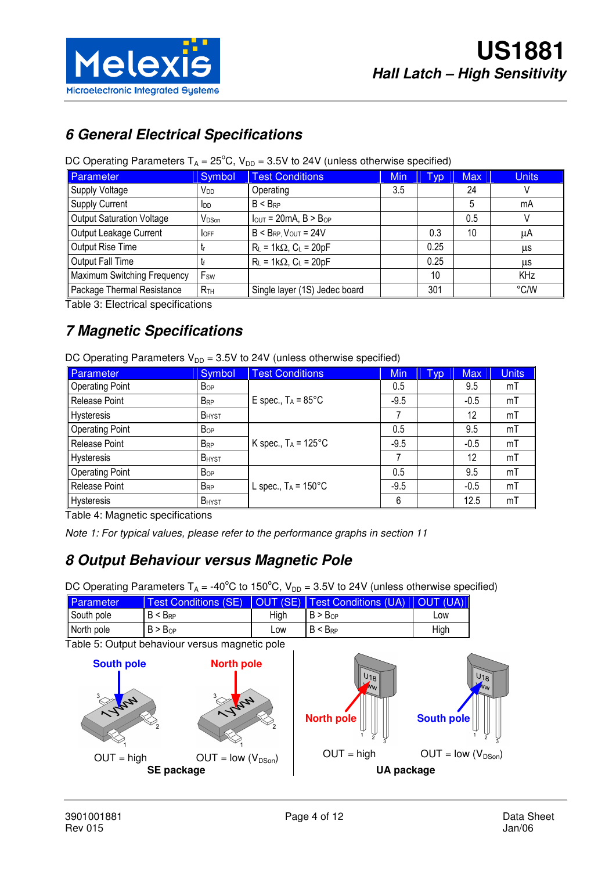

## **6 General Electrical Specifications**

#### DC Operating Parameters  $T_A = 25^{\circ}$ C, V<sub>DD</sub> = 3.5V to 24V (unless otherwise specified)

| Parameter                        | Symbol            | <b>Test Conditions</b>          | Min | Гур  | <b>Max</b> | <b>Units</b> |
|----------------------------------|-------------------|---------------------------------|-----|------|------------|--------------|
| Supply Voltage                   | V <sub>DD</sub>   | Operating                       | 3.5 |      | 24         |              |
| <b>Supply Current</b>            | <b>I</b> DD       | $B < B_{RP}$                    |     |      | 5          | mA           |
| <b>Output Saturation Voltage</b> | V <sub>DSon</sub> | $I_{OUT} = 20mA$ , $B > B_{OP}$ |     |      | 0.5        |              |
| Output Leakage Current           | <b>IOFF</b>       | $B < B_{RP}$ , $V_{OUT} = 24V$  |     | 0.3  | 10         | μA           |
| Output Rise Time                 | . Lr              | $R_L = 1k\Omega$ , $C_L = 20pF$ |     | 0.25 |            | μs           |
| Output Fall Time                 |                   | $R_L = 1k\Omega$ , $C_L = 20pF$ |     | 0.25 |            | μs           |
| Maximum Switching Frequency      | Fsw               |                                 |     | 10   |            | KHz          |
| Package Thermal Resistance       | R <sub>TH</sub>   | Single layer (1S) Jedec board   |     | 301  |            | °C/W         |

Table 3: Electrical specifications

# **7 Magnetic Specifications**

|  |  |  |  | DC Operating Parameters $V_{DD} = 3.5V$ to 24V (unless otherwise specified) |
|--|--|--|--|-----------------------------------------------------------------------------|
|--|--|--|--|-----------------------------------------------------------------------------|

| Parameter              | Symbol                 | <b>Test Conditions</b>         | Min    | Typ | <b>Max</b> | <b>Units</b> |
|------------------------|------------------------|--------------------------------|--------|-----|------------|--------------|
| <b>Operating Point</b> | <b>Bop</b>             |                                | 0.5    |     | 9.5        | mT           |
| Release Point          | <b>BRP</b>             | E spec., $T_A = 85^{\circ}$ C  | $-9.5$ |     | $-0.5$     | mT           |
| Hysteresis             | <b>B</b> HYST          |                                |        |     | 12         | mT           |
| <b>Operating Point</b> | <b>Bop</b>             |                                | 0.5    |     | 9.5        | mT           |
| Release Point          | $B_{RP}$               | K spec., $T_A = 125^{\circ}$ C | $-9.5$ |     | $-0.5$     | mT           |
| Hysteresis             | <b>B</b> HYST          |                                |        |     | 12         | mT           |
| <b>Operating Point</b> | <b>B</b> <sub>OP</sub> |                                | 0.5    |     | 9.5        | mT           |
| Release Point          | <b>BRP</b>             | L spec., $T_A = 150^{\circ}$ C | $-9.5$ |     | $-0.5$     | mT           |
| Hysteresis             | <b>B</b> HYST          |                                | 6      |     | 12.5       | mT           |

Table 4: Magnetic specifications

Note 1: For typical values, please refer to the performance graphs in section 11

## **8 Output Behaviour versus Magnetic Pole**

DC Operating Parameters  $T_A = -40^{\circ}$ C to 150°C, V<sub>DD</sub> = 3.5V to 24V (unless otherwise specified)

| Parameter  | <b>Test Conditions (SE)</b> |      | <b>IOUT (SE)   Test Conditions (UA)</b> | I OUT (UA) |
|------------|-----------------------------|------|-----------------------------------------|------------|
| South pole | $B < B_{RP}$                | Hiah | B > B <sub>OP</sub>                     | <b>LOW</b> |
| North pole | $B > B_{OP}$                | LOW  | $B < B_{RP}$                            | High       |

Table 5: Output behaviour versus magnetic pole



 $U_{18}$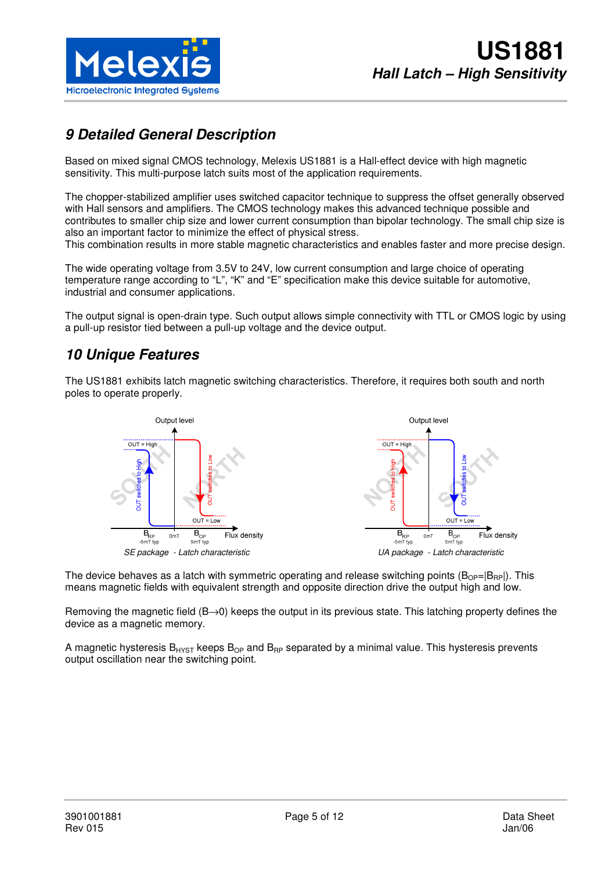

## **9 Detailed General Description**

Based on mixed signal CMOS technology, Melexis US1881 is a Hall-effect device with high magnetic sensitivity. This multi-purpose latch suits most of the application requirements.

The chopper-stabilized amplifier uses switched capacitor technique to suppress the offset generally observed with Hall sensors and amplifiers. The CMOS technology makes this advanced technique possible and contributes to smaller chip size and lower current consumption than bipolar technology. The small chip size is also an important factor to minimize the effect of physical stress. This combination results in more stable magnetic characteristics and enables faster and more precise design.

The wide operating voltage from 3.5V to 24V, low current consumption and large choice of operating temperature range according to "L", "K" and "E" specification make this device suitable for automotive, industrial and consumer applications.

The output signal is open-drain type. Such output allows simple connectivity with TTL or CMOS logic by using a pull-up resistor tied between a pull-up voltage and the device output.

## **10 Unique Features**

The US1881 exhibits latch magnetic switching characteristics. Therefore, it requires both south and north poles to operate properly.



The device behaves as a latch with symmetric operating and release switching points  $(B_{OP}=|B_{RP}|)$ . This means magnetic fields with equivalent strength and opposite direction drive the output high and low.

Removing the magnetic field (B→0) keeps the output in its previous state. This latching property defines the device as a magnetic memory.

A magnetic hysteresis  $B_{HYST}$  keeps  $B_{OP}$  and  $B_{RP}$  separated by a minimal value. This hysteresis prevents output oscillation near the switching point.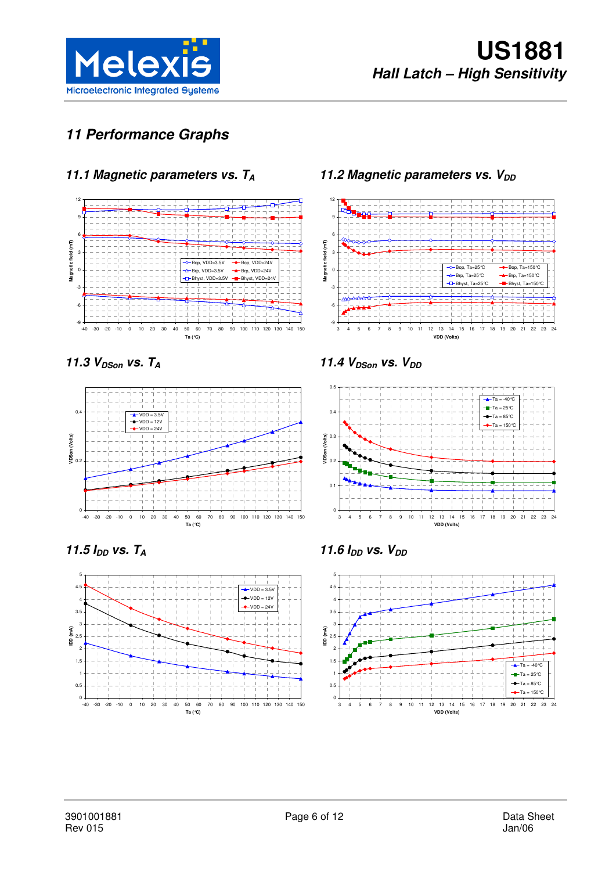

# **11 Performance Graphs**

## **11.1 Magnetic parameters vs. T<sup>A</sup>**



 $11.3 V<sub>DSon</sub>$  vs.  $T_A$ 



**11.5**  $I_{DD}$  vs.  $T_A$ 



### **11.2 Magnetic parameters vs. V<sub>DD</sub>**



**11.4**  $V_{DSon}$  **vs.**  $V_{DD}$ 



**11.6 IDD vs. VDD**

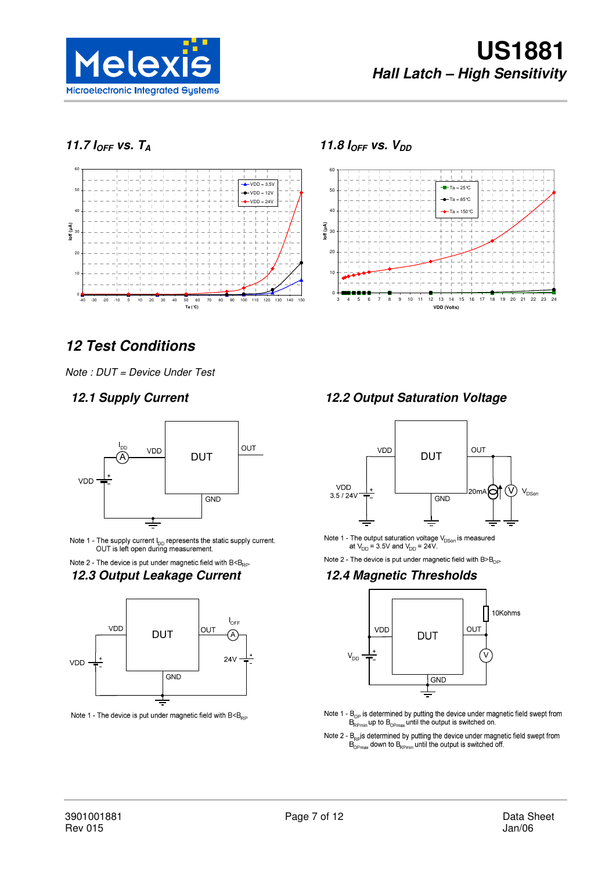

## 11.7  $I_{OFF}$  vs.  $T_A$



#### **11.8 IOFF vs. VDD**



# **12 Test Conditions**

Note : DUT = Device Under Test



Note 1 - The supply current  $I_{DD}$  represents the static supply current.<br>OUT is left open during measurement.

# Note 2 - The device is put under magnetic field with  $B \leq B_{\text{RP}}$ .



Note 1 - The device is put under magnetic field with  $B \leq B_{RP}$ 

#### **12.1 Supply Current 12.2 Output Saturation Voltage**



Note 1 - The output saturation voltage  $V_{DSon}$  is measured<br>at  $V_{DD} = 3.5V$  and  $V_{DD} = 24V$ .

Note 2 - The device is put under magnetic field with  $B > B_{\text{OP}}$ .

#### **12.3 Output Leakage Current 12.4 Magnetic Thresholds**



- Note 1 B<sub>OP</sub> is determined by putting the device under magnetic field swept from<br> $B_{R\text{Pmin}}$  up to  $B_{O\text{Pmax}}$  until the output is switched on.
- Note 2 B<sub>RP</sub> is determined by putting the device under magnetic field swept from  $B_{\text{OPmax}}$  down to B<sub>RPmin</sub> until the output is switched off.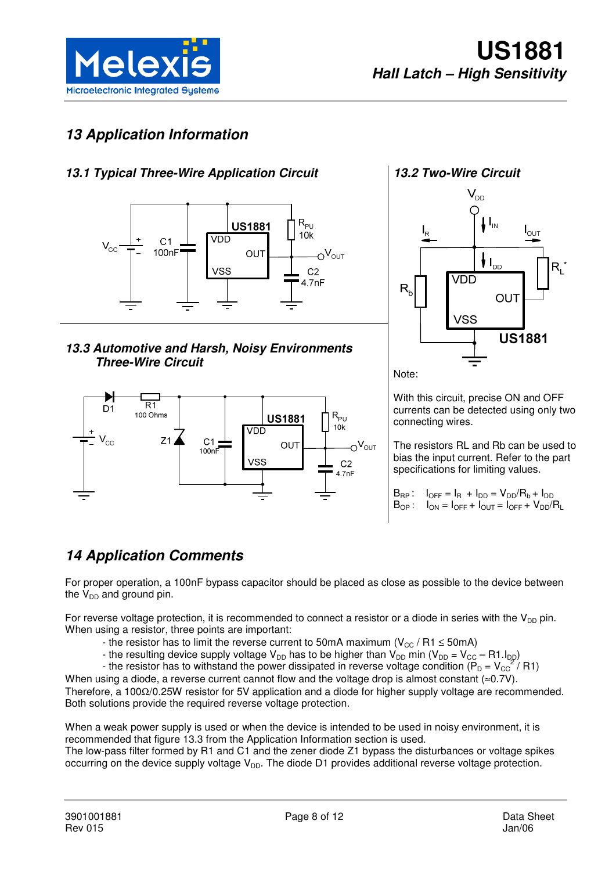

## **13 Application Information**

### **13.1 Typical Three-Wire Application Circuit**



**13.3 Automotive and Harsh, Noisy Environments Three-Wire Circuit** 



#### **13.2 Two-Wire Circuit**



Note:

With this circuit, precise ON and OFF currents can be detected using only two connecting wires.

The resistors RL and Rb can be used to bias the input current. Refer to the part specifications for limiting values.

| $B_{RP}$ : $I_{OFF} = I_R + I_{DD} = V_{DD}/R_b + I_{DD}$      |
|----------------------------------------------------------------|
| $B_{OP}$ : $I_{ON} = I_{OFF} + I_{OUT} = I_{OFF} + V_{DD}/R_L$ |

## **14 Application Comments**

For proper operation, a 100nF bypass capacitor should be placed as close as possible to the device between the  $V_{DD}$  and ground pin.

For reverse voltage protection, it is recommended to connect a resistor or a diode in series with the  $V_{DD}$  pin. When using a resistor, three points are important:

- the resistor has to limit the reverse current to 50mA maximum ( $V_{CC}$  / R1  $\leq$  50mA)
- the resulting device supply voltage V<sub>DD</sub> has to be higher than V<sub>DD</sub> min (V<sub>DD</sub> = V<sub>CC</sub> R1.I<sub>DD</sub>)
- the resistor has to withstand the power dissipated in reverse voltage condition ( $P_D = V_{CC}^2 / R1$ )

When using a diode, a reverse current cannot flow and the voltage drop is almost constant (≈0.7V). Therefore, a 100Ω/0.25W resistor for 5V application and a diode for higher supply voltage are recommended. Both solutions provide the required reverse voltage protection.

When a weak power supply is used or when the device is intended to be used in noisy environment, it is recommended that figure 13.3 from the Application Information section is used.

The low-pass filter formed by R1 and C1 and the zener diode Z1 bypass the disturbances or voltage spikes occurring on the device supply voltage  $V_{DD}$ . The diode D1 provides additional reverse voltage protection.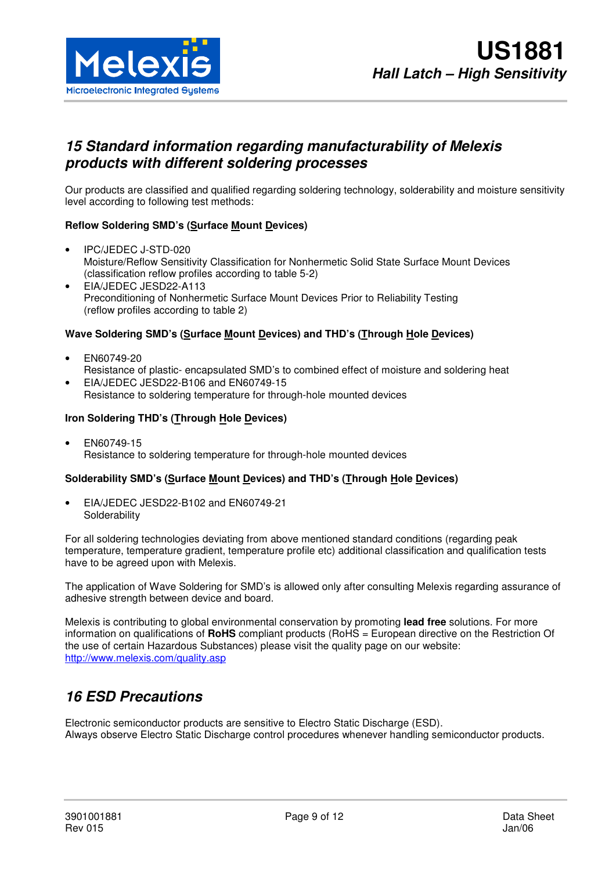

## **15 Standard information regarding manufacturability of Melexis products with different soldering processes**

Our products are classified and qualified regarding soldering technology, solderability and moisture sensitivity level according to following test methods:

#### **Reflow Soldering SMD's (Surface Mount Devices)**

- IPC/JEDEC J-STD-020 Moisture/Reflow Sensitivity Classification for Nonhermetic Solid State Surface Mount Devices (classification reflow profiles according to table 5-2)
- EIA/JEDEC JESD22-A113 Preconditioning of Nonhermetic Surface Mount Devices Prior to Reliability Testing (reflow profiles according to table 2)

#### **Wave Soldering SMD's (Surface Mount Devices) and THD's (Through Hole Devices)**

- EN60749-20 Resistance of plastic- encapsulated SMD's to combined effect of moisture and soldering heat
- EIA/JEDEC JESD22-B106 and EN60749-15 Resistance to soldering temperature for through-hole mounted devices

#### **Iron Soldering THD's (Through Hole Devices)**

• EN60749-15 Resistance to soldering temperature for through-hole mounted devices

#### **Solderability SMD's (Surface Mount Devices) and THD's (Through Hole Devices)**

• EIA/JEDEC JESD22-B102 and EN60749-21 **Solderability** 

For all soldering technologies deviating from above mentioned standard conditions (regarding peak temperature, temperature gradient, temperature profile etc) additional classification and qualification tests have to be agreed upon with Melexis.

The application of Wave Soldering for SMD's is allowed only after consulting Melexis regarding assurance of adhesive strength between device and board.

Melexis is contributing to global environmental conservation by promoting **lead free** solutions. For more information on qualifications of **RoHS** compliant products (RoHS = European directive on the Restriction Of the use of certain Hazardous Substances) please visit the quality page on our website: http://www.melexis.com/quality.asp

## **16 ESD Precautions**

Electronic semiconductor products are sensitive to Electro Static Discharge (ESD). Always observe Electro Static Discharge control procedures whenever handling semiconductor products.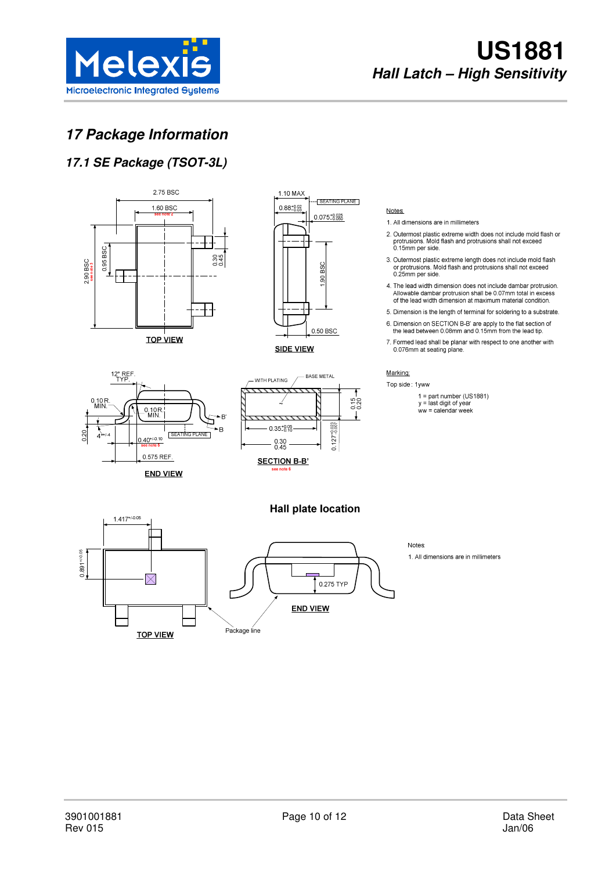

# **US1881 Hall Latch – High Sensitivity**

## **17 Package Information**

## **17.1 SE Package (TSOT-3L)**

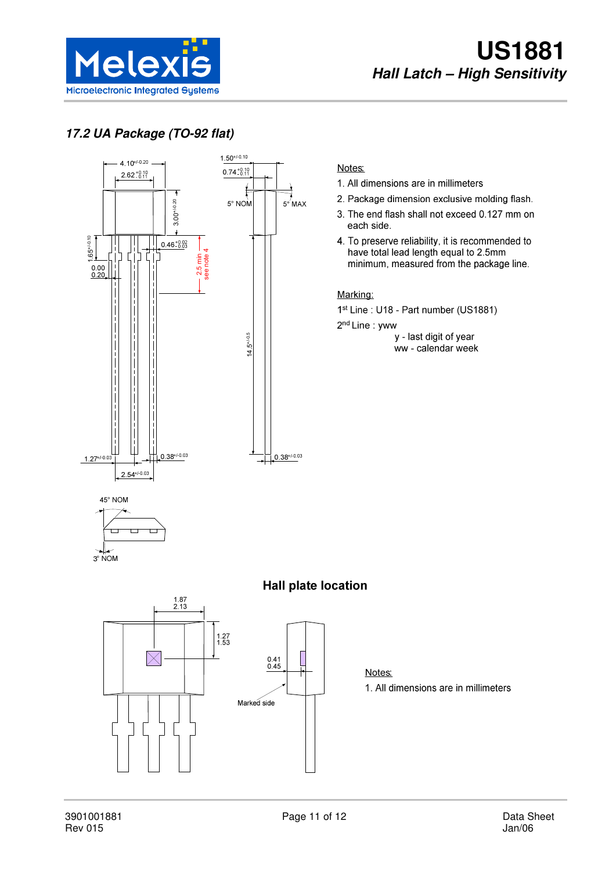

## **17.2 UA Package (TO-92 flat)**



#### Notes:

- 1. All dimensions are in millimeters
- 2. Package dimension exclusive molding flash.
- 3. The end flash shall not exceed 0.127 mm on each side.
- 4. To preserve reliability, it is recommended to have total lead length equal to 2.5mm minimum, measured from the package line.

#### Marking:

1<sup>st</sup> Line: U18 - Part number (US1881)

2<sup>nd</sup> Line: yww

y - last digit of year ww - calendar week









Notes: 1. All dimensions are in millimeters